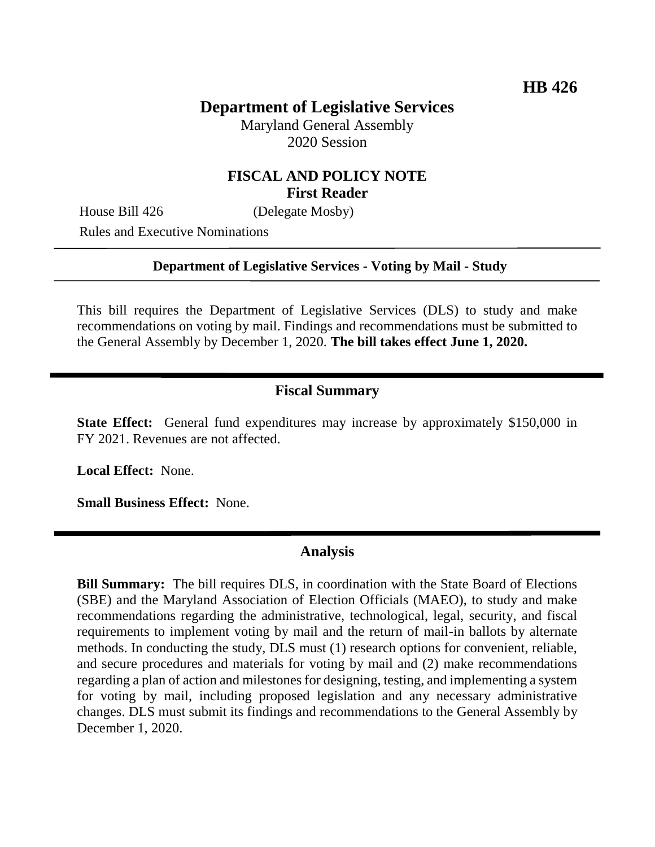# **Department of Legislative Services**

Maryland General Assembly 2020 Session

### **FISCAL AND POLICY NOTE First Reader**

House Bill 426 (Delegate Mosby)

Rules and Executive Nominations

#### **Department of Legislative Services - Voting by Mail - Study**

This bill requires the Department of Legislative Services (DLS) to study and make recommendations on voting by mail. Findings and recommendations must be submitted to the General Assembly by December 1, 2020. **The bill takes effect June 1, 2020.**

### **Fiscal Summary**

**State Effect:** General fund expenditures may increase by approximately \$150,000 in FY 2021. Revenues are not affected.

**Local Effect:** None.

**Small Business Effect:** None.

#### **Analysis**

**Bill Summary:** The bill requires DLS, in coordination with the State Board of Elections (SBE) and the Maryland Association of Election Officials (MAEO), to study and make recommendations regarding the administrative, technological, legal, security, and fiscal requirements to implement voting by mail and the return of mail-in ballots by alternate methods. In conducting the study, DLS must (1) research options for convenient, reliable, and secure procedures and materials for voting by mail and (2) make recommendations regarding a plan of action and milestones for designing, testing, and implementing a system for voting by mail, including proposed legislation and any necessary administrative changes. DLS must submit its findings and recommendations to the General Assembly by December 1, 2020.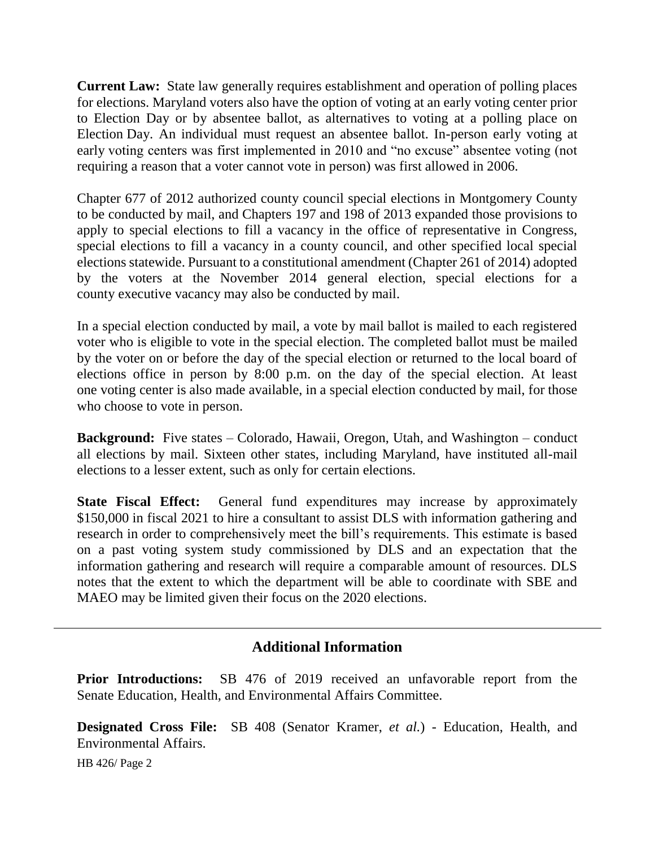**Current Law:** State law generally requires establishment and operation of polling places for elections. Maryland voters also have the option of voting at an early voting center prior to Election Day or by absentee ballot, as alternatives to voting at a polling place on Election Day. An individual must request an absentee ballot. In-person early voting at early voting centers was first implemented in 2010 and "no excuse" absentee voting (not requiring a reason that a voter cannot vote in person) was first allowed in 2006.

Chapter 677 of 2012 authorized county council special elections in Montgomery County to be conducted by mail, and Chapters 197 and 198 of 2013 expanded those provisions to apply to special elections to fill a vacancy in the office of representative in Congress, special elections to fill a vacancy in a county council, and other specified local special elections statewide. Pursuant to a constitutional amendment (Chapter 261 of 2014) adopted by the voters at the November 2014 general election, special elections for a county executive vacancy may also be conducted by mail.

In a special election conducted by mail, a vote by mail ballot is mailed to each registered voter who is eligible to vote in the special election. The completed ballot must be mailed by the voter on or before the day of the special election or returned to the local board of elections office in person by 8:00 p.m. on the day of the special election. At least one voting center is also made available, in a special election conducted by mail, for those who choose to vote in person.

**Background:** Five states – Colorado, Hawaii, Oregon, Utah, and Washington – conduct all elections by mail. Sixteen other states, including Maryland, have instituted all-mail elections to a lesser extent, such as only for certain elections.

**State Fiscal Effect:** General fund expenditures may increase by approximately \$150,000 in fiscal 2021 to hire a consultant to assist DLS with information gathering and research in order to comprehensively meet the bill's requirements. This estimate is based on a past voting system study commissioned by DLS and an expectation that the information gathering and research will require a comparable amount of resources. DLS notes that the extent to which the department will be able to coordinate with SBE and MAEO may be limited given their focus on the 2020 elections.

## **Additional Information**

**Prior Introductions:** SB 476 of 2019 received an unfavorable report from the Senate Education, Health, and Environmental Affairs Committee.

**Designated Cross File:** SB 408 (Senator Kramer, *et al.*) - Education, Health, and Environmental Affairs.

HB 426/ Page 2